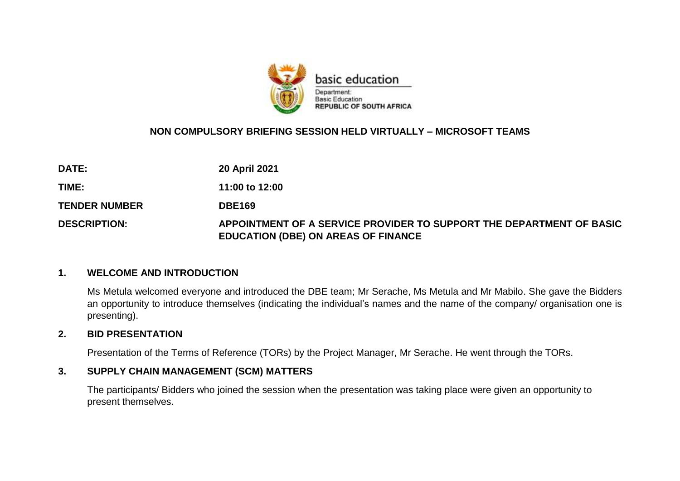

## **NON COMPULSORY BRIEFING SESSION HELD VIRTUALLY – MICROSOFT TEAMS**

| <b>DATE:</b>         | <b>20 April 2021</b>                                                                                               |
|----------------------|--------------------------------------------------------------------------------------------------------------------|
| TIME:                | 11:00 to 12:00                                                                                                     |
| <b>TENDER NUMBER</b> | <b>DBE169</b>                                                                                                      |
| <b>DESCRIPTION:</b>  | APPOINTMENT OF A SERVICE PROVIDER TO SUPPORT THE DEPARTMENT OF BASIC<br><b>EDUCATION (DBE) ON AREAS OF FINANCE</b> |

### **1. WELCOME AND INTRODUCTION**

Ms Metula welcomed everyone and introduced the DBE team; Mr Serache, Ms Metula and Mr Mabilo. She gave the Bidders an opportunity to introduce themselves (indicating the individual's names and the name of the company/ organisation one is presenting).

## **2. BID PRESENTATION**

Presentation of the Terms of Reference (TORs) by the Project Manager, Mr Serache. He went through the TORs.

### **3. SUPPLY CHAIN MANAGEMENT (SCM) MATTERS**

The participants/ Bidders who joined the session when the presentation was taking place were given an opportunity to present themselves.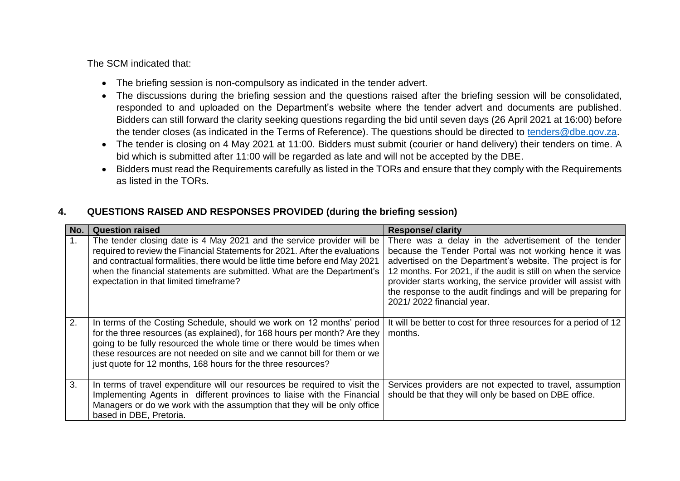The SCM indicated that:

- The briefing session is non-compulsory as indicated in the tender advert.
- The discussions during the briefing session and the questions raised after the briefing session will be consolidated, responded to and uploaded on the Department's website where the tender advert and documents are published. Bidders can still forward the clarity seeking questions regarding the bid until seven days (26 April 2021 at 16:00) before the tender closes (as indicated in the Terms of Reference). The questions should be directed to [tenders@dbe.gov.za.](mailto:tenders@dbe.gov.za)
- The tender is closing on 4 May 2021 at 11:00. Bidders must submit (courier or hand delivery) their tenders on time. A bid which is submitted after 11:00 will be regarded as late and will not be accepted by the DBE.
- Bidders must read the Requirements carefully as listed in the TORs and ensure that they comply with the Requirements as listed in the TORs.

#### **No. Question raised Response/ clarity**  1. The tender closing date is 4 May 2021 and the service provider will be required to review the Financial Statements for 2021. After the evaluations and contractual formalities, there would be little time before end May 2021 when the financial statements are submitted. What are the Department's expectation in that limited timeframe? There was a delay in the advertisement of the tender because the Tender Portal was not working hence it was advertised on the Department's website. The project is for 12 months. For 2021, if the audit is still on when the service provider starts working, the service provider will assist with the response to the audit findings and will be preparing for 2021/ 2022 financial year. 2. In terms of the Costing Schedule, should we work on 12 months' period for the three resources (as explained), for 168 hours per month? Are they going to be fully resourced the whole time or there would be times when these resources are not needed on site and we cannot bill for them or we just quote for 12 months, 168 hours for the three resources? It will be better to cost for three resources for a period of 12 months. 3. In terms of travel expenditure will our resources be required to visit the Implementing Agents in different provinces to liaise with the Financial Managers or do we work with the assumption that they will be only office based in DBE, Pretoria. Services providers are not expected to travel, assumption should be that they will only be based on DBE office.

## **4. QUESTIONS RAISED AND RESPONSES PROVIDED (during the briefing session)**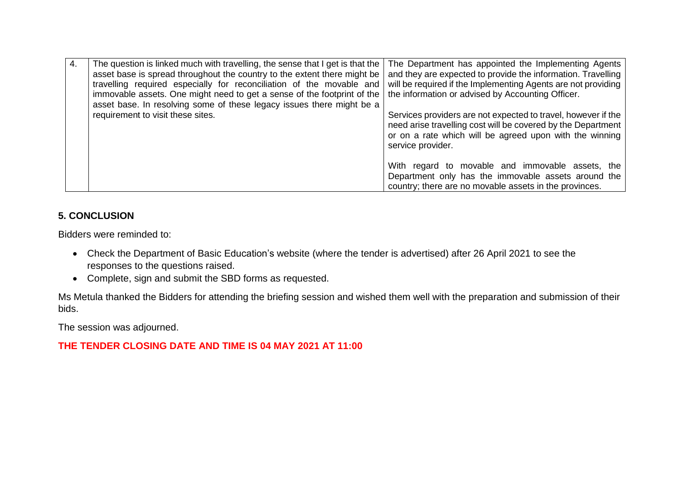| 4. | The question is linked much with travelling, the sense that I get is that the<br>asset base is spread throughout the country to the extent there might be<br>travelling required especially for reconciliation of the movable and<br>immovable assets. One might need to get a sense of the footprint of the<br>asset base. In resolving some of these legacy issues there might be a | The Department has appointed the Implementing Agents<br>and they are expected to provide the information. Travelling<br>will be required if the Implementing Agents are not providing<br>the information or advised by Accounting Officer. |
|----|---------------------------------------------------------------------------------------------------------------------------------------------------------------------------------------------------------------------------------------------------------------------------------------------------------------------------------------------------------------------------------------|--------------------------------------------------------------------------------------------------------------------------------------------------------------------------------------------------------------------------------------------|
|    | requirement to visit these sites.                                                                                                                                                                                                                                                                                                                                                     | Services providers are not expected to travel, however if the<br>need arise travelling cost will be covered by the Department<br>or on a rate which will be agreed upon with the winning<br>service provider.                              |
|    |                                                                                                                                                                                                                                                                                                                                                                                       | With regard to movable and immovable assets, the<br>Department only has the immovable assets around the<br>country; there are no movable assets in the provinces.                                                                          |

## **5. CONCLUSION**

Bidders were reminded to:

- Check the Department of Basic Education's website (where the tender is advertised) after 26 April 2021 to see the responses to the questions raised.
- Complete, sign and submit the SBD forms as requested.

Ms Metula thanked the Bidders for attending the briefing session and wished them well with the preparation and submission of their bids.

The session was adjourned.

# **THE TENDER CLOSING DATE AND TIME IS 04 MAY 2021 AT 11:00**